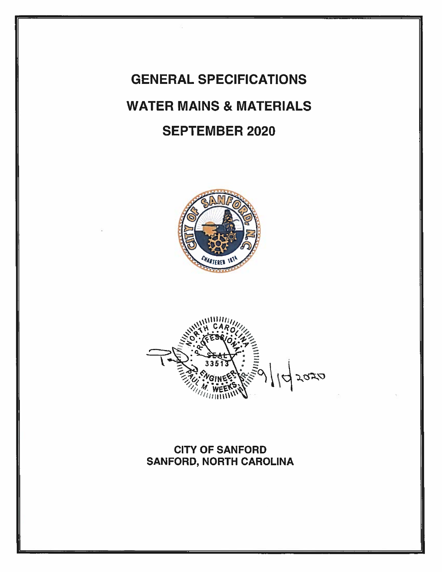# **GENERAL SPECIFICATIONS WATER MAINS & MATERIALS SEPTEMBER 2020**





**CITY OF SANFORD** SANFORD, NORTH CAROLINA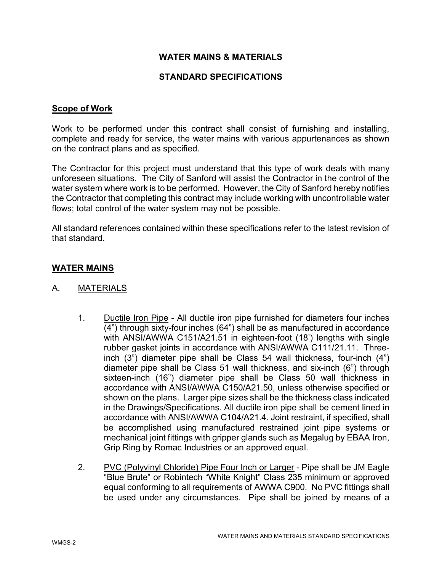# WATER MAINS & MATERIALS

## STANDARD SPECIFICATIONS

## Scope of Work

Work to be performed under this contract shall consist of furnishing and installing, complete and ready for service, the water mains with various appurtenances as shown on the contract plans and as specified.

The Contractor for this project must understand that this type of work deals with many unforeseen situations. The City of Sanford will assist the Contractor in the control of the water system where work is to be performed. However, the City of Sanford hereby notifies the Contractor that completing this contract may include working with uncontrollable water flows; total control of the water system may not be possible.

All standard references contained within these specifications refer to the latest revision of that standard.

# WATER MAINS

- A. MATERIALS
	- 1. Ductile Iron Pipe All ductile iron pipe furnished for diameters four inches  $\overline{(4)}$  through sixty-four inches (64") shall be as manufactured in accordance with ANSI/AWWA C151/A21.51 in eighteen-foot (18') lengths with single rubber gasket joints in accordance with ANSI/AWWA C111/21.11. Threeinch (3") diameter pipe shall be Class 54 wall thickness, four-inch (4") diameter pipe shall be Class 51 wall thickness, and six-inch (6") through sixteen-inch (16") diameter pipe shall be Class 50 wall thickness in accordance with ANSI/AWWA C150/A21.50, unless otherwise specified or shown on the plans. Larger pipe sizes shall be the thickness class indicated in the Drawings/Specifications. All ductile iron pipe shall be cement lined in accordance with ANSI/AWWA C104/A21.4. Joint restraint, if specified, shall be accomplished using manufactured restrained joint pipe systems or mechanical joint fittings with gripper glands such as Megalug by EBAA Iron, Grip Ring by Romac Industries or an approved equal.
	- 2. PVC (Polyvinyl Chloride) Pipe Four Inch or Larger Pipe shall be JM Eagle "Blue Brute" or Robintech "White Knight" Class 235 minimum or approved equal conforming to all requirements of AWWA C900. No PVC fittings shall be used under any circumstances. Pipe shall be joined by means of a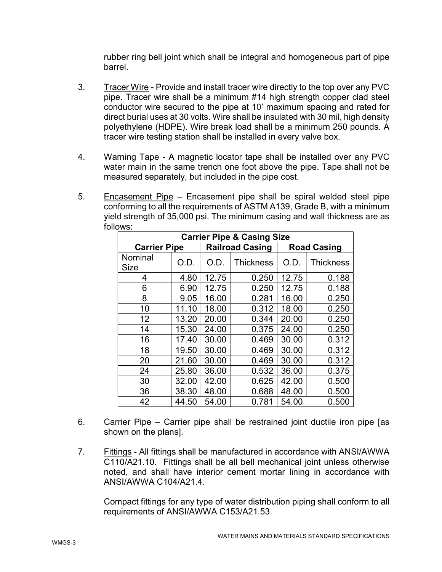rubber ring bell joint which shall be integral and homogeneous part of pipe barrel.

- 3. Tracer Wire Provide and install tracer wire directly to the top over any PVC pipe. Tracer wire shall be a minimum #14 high strength copper clad steel conductor wire secured to the pipe at 10' maximum spacing and rated for direct burial uses at 30 volts. Wire shall be insulated with 30 mil, high density polyethylene (HDPE). Wire break load shall be a minimum 250 pounds. A tracer wire testing station shall be installed in every valve box.
- 4. Warning Tape A magnetic locator tape shall be installed over any PVC water main in the same trench one foot above the pipe. Tape shall not be measured separately, but included in the pipe cost.
- 5. Encasement Pipe Encasement pipe shall be spiral welded steel pipe conforming to all the requirements of ASTM A139, Grade B, with a minimum yield strength of 35,000 psi. The minimum casing and wall thickness are as follows:

| <b>Carrier Pipe &amp; Casing Size</b> |       |                        |                  |                    |                  |  |  |
|---------------------------------------|-------|------------------------|------------------|--------------------|------------------|--|--|
| <b>Carrier Pipe</b>                   |       | <b>Railroad Casing</b> |                  | <b>Road Casing</b> |                  |  |  |
| Nominal<br><b>Size</b>                | O.D.  | O.D.                   | <b>Thickness</b> | O.D.               | <b>Thickness</b> |  |  |
| 4                                     | 4.80  | 12.75                  | 0.250            | 12.75              | 0.188            |  |  |
| 6                                     | 6.90  | 12.75                  | 0.250            | 12.75              | 0.188            |  |  |
| 8                                     | 9.05  | 16.00                  | 0.281            | 16.00              | 0.250            |  |  |
| 10                                    | 11.10 | 18.00                  | 0.312            | 18.00              | 0.250            |  |  |
| 12                                    | 13.20 | 20.00                  | 0.344            | 20.00              | 0.250            |  |  |
| 14                                    | 15.30 | 24.00                  | 0.375            | 24.00              | 0.250            |  |  |
| 16                                    | 17.40 | 30.00                  | 0.469            | 30.00              | 0.312            |  |  |
| 18                                    | 19.50 | 30.00                  | 0.469            | 30.00              | 0.312            |  |  |
| 20                                    | 21.60 | 30.00                  | 0.469            | 30.00              | 0.312            |  |  |
| 24                                    | 25.80 | 36.00                  | 0.532            | 36.00              | 0.375            |  |  |
| 30                                    | 32.00 | 42.00                  | 0.625            | 42.00              | 0.500            |  |  |
| 36                                    | 38.30 | 48.00                  | 0.688            | 48.00              | 0.500            |  |  |
| 42                                    | 44.50 | 54.00                  | 0.781            | 54.00              | 0.500            |  |  |

- 6. Carrier Pipe Carrier pipe shall be restrained joint ductile iron pipe [as shown on the plans].
- 7. Fittings All fittings shall be manufactured in accordance with ANSI/AWWA C110/A21.10. Fittings shall be all bell mechanical joint unless otherwise noted, and shall have interior cement mortar lining in accordance with ANSI/AWWA C104/A21.4.

Compact fittings for any type of water distribution piping shall conform to all requirements of ANSI/AWWA C153/A21.53.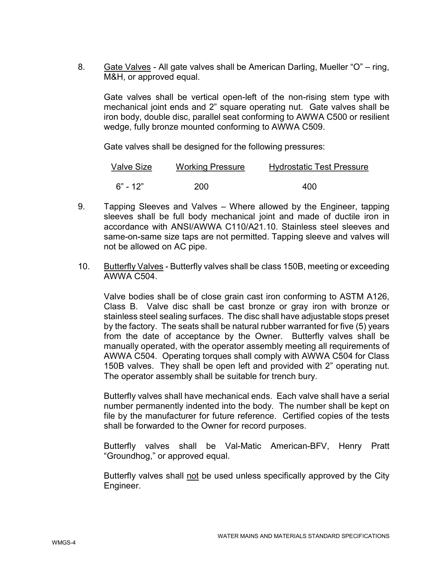8. Gate Valves - All gate valves shall be American Darling, Mueller "O" – ring, M&H, or approved equal.

Gate valves shall be vertical open-left of the non-rising stem type with mechanical joint ends and 2" square operating nut. Gate valves shall be iron body, double disc, parallel seat conforming to AWWA C500 or resilient wedge, fully bronze mounted conforming to AWWA C509.

Gate valves shall be designed for the following pressures:

| Valve Size | <b>Working Pressure</b> | <b>Hydrostatic Test Pressure</b> |
|------------|-------------------------|----------------------------------|
| $6" - 12"$ | <b>200</b>              | 400                              |

- 9. Tapping Sleeves and Valves Where allowed by the Engineer, tapping sleeves shall be full body mechanical joint and made of ductile iron in accordance with ANSI/AWWA C110/A21.10. Stainless steel sleeves and same-on-same size taps are not permitted. Tapping sleeve and valves will not be allowed on AC pipe.
- 10. Butterfly Valves Butterfly valves shall be class 150B, meeting or exceeding AWWA C504.

Valve bodies shall be of close grain cast iron conforming to ASTM A126, Class B. Valve disc shall be cast bronze or gray iron with bronze or stainless steel sealing surfaces. The disc shall have adjustable stops preset by the factory. The seats shall be natural rubber warranted for five (5) years from the date of acceptance by the Owner. Butterfly valves shall be manually operated, with the operator assembly meeting all requirements of AWWA C504. Operating torques shall comply with AWWA C504 for Class 150B valves. They shall be open left and provided with 2" operating nut. The operator assembly shall be suitable for trench bury.

Butterfly valves shall have mechanical ends. Each valve shall have a serial number permanently indented into the body. The number shall be kept on file by the manufacturer for future reference. Certified copies of the tests shall be forwarded to the Owner for record purposes.

Butterfly valves shall be Val-Matic American-BFV, Henry Pratt "Groundhog," or approved equal.

Butterfly valves shall not be used unless specifically approved by the City Engineer.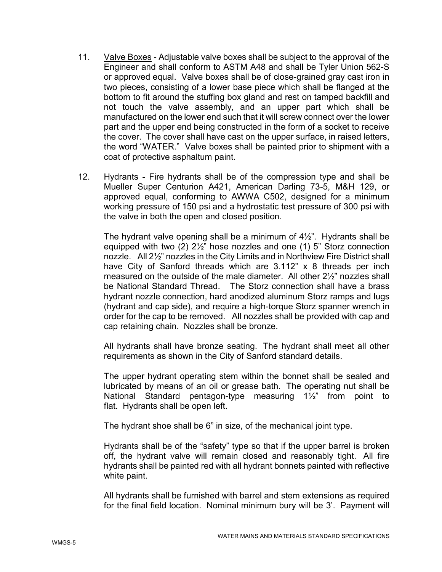- 11. Valve Boxes Adjustable valve boxes shall be subject to the approval of the Engineer and shall conform to ASTM A48 and shall be Tyler Union 562-S or approved equal. Valve boxes shall be of close-grained gray cast iron in two pieces, consisting of a lower base piece which shall be flanged at the bottom to fit around the stuffing box gland and rest on tamped backfill and not touch the valve assembly, and an upper part which shall be manufactured on the lower end such that it will screw connect over the lower part and the upper end being constructed in the form of a socket to receive the cover. The cover shall have cast on the upper surface, in raised letters, the word "WATER." Valve boxes shall be painted prior to shipment with a coat of protective asphaltum paint.
- 12. Hydrants Fire hydrants shall be of the compression type and shall be Mueller Super Centurion A421, American Darling 73-5, M&H 129, or approved equal, conforming to AWWA C502, designed for a minimum working pressure of 150 psi and a hydrostatic test pressure of 300 psi with the valve in both the open and closed position.

The hydrant valve opening shall be a minimum of  $4\frac{1}{2}$ ". Hydrants shall be equipped with two (2) 2½" hose nozzles and one (1) 5" Storz connection nozzle. All 2½" nozzles in the City Limits and in Northview Fire District shall have City of Sanford threads which are 3.112" x 8 threads per inch measured on the outside of the male diameter. All other 2½" nozzles shall be National Standard Thread. The Storz connection shall have a brass hydrant nozzle connection, hard anodized aluminum Storz ramps and lugs (hydrant and cap side), and require a high-torque Storz spanner wrench in order for the cap to be removed. All nozzles shall be provided with cap and cap retaining chain. Nozzles shall be bronze.

All hydrants shall have bronze seating. The hydrant shall meet all other requirements as shown in the City of Sanford standard details.

The upper hydrant operating stem within the bonnet shall be sealed and lubricated by means of an oil or grease bath. The operating nut shall be National Standard pentagon-type measuring 1½" from point to flat. Hydrants shall be open left.

The hydrant shoe shall be 6" in size, of the mechanical joint type.

Hydrants shall be of the "safety" type so that if the upper barrel is broken off, the hydrant valve will remain closed and reasonably tight. All fire hydrants shall be painted red with all hydrant bonnets painted with reflective white paint.

All hydrants shall be furnished with barrel and stem extensions as required for the final field location. Nominal minimum bury will be 3'. Payment will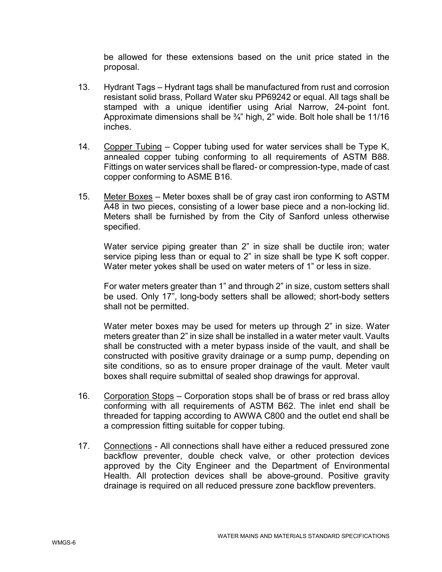be allowed for these extensions based on the unit price stated in the proposal.

- 13. Hydrant Tags Hydrant tags shall be manufactured from rust and corrosion resistant solid brass, Pollard Water sku PP69242 or equal. All tags shall be stamped with a unique identifier using Arial Narrow, 24-point font. Approximate dimensions shall be  $\frac{3}{4}$ " high, 2" wide. Bolt hole shall be 11/16 inches.
- 14. Copper Tubing Copper tubing used for water services shall be Type K, annealed copper tubing conforming to all requirements of ASTM B88. Fittings on water services shall be flared- or compression-type, made of cast copper conforming to ASME B16.
- 15. Meter Boxes Meter boxes shall be of gray cast iron conforming to ASTM A48 in two pieces, consisting of a lower base piece and a non-locking lid. Meters shall be furnished by from the City of Sanford unless otherwise specified.

Water service piping greater than 2" in size shall be ductile iron; water service piping less than or equal to 2" in size shall be type K soft copper. Water meter yokes shall be used on water meters of 1" or less in size.

For water meters greater than 1" and through 2" in size, custom setters shall be used. Only 17", long-body setters shall be allowed; short-body setters shall not be permitted.

Water meter boxes may be used for meters up through 2" in size. Water meters greater than 2" in size shall be installed in a water meter vault. Vaults shall be constructed with a meter bypass inside of the vault, and shall be constructed with positive gravity drainage or a sump pump, depending on site conditions, so as to ensure proper drainage of the vault. Meter vault boxes shall require submittal of sealed shop drawings for approval.

- 16. Corporation Stops Corporation stops shall be of brass or red brass alloy conforming with all requirements of ASTM B62. The inlet end shall be threaded for tapping according to AWWA C800 and the outlet end shall be a compression fitting suitable for copper tubing.
- 17. Connections All connections shall have either a reduced pressured zone backflow preventer, double check valve, or other protection devices approved by the City Engineer and the Department of Environmental Health. All protection devices shall be above-ground. Positive gravity drainage is required on all reduced pressure zone backflow preventers.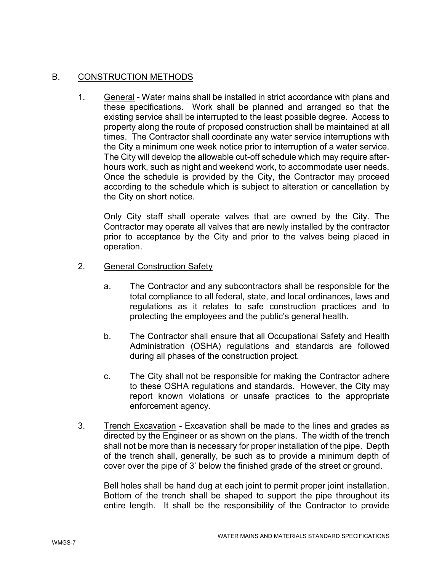# B. CONSTRUCTION METHODS

1. General - Water mains shall be installed in strict accordance with plans and these specifications. Work shall be planned and arranged so that the existing service shall be interrupted to the least possible degree. Access to property along the route of proposed construction shall be maintained at all times. The Contractor shall coordinate any water service interruptions with the City a minimum one week notice prior to interruption of a water service. The City will develop the allowable cut-off schedule which may require afterhours work, such as night and weekend work, to accommodate user needs. Once the schedule is provided by the City, the Contractor may proceed according to the schedule which is subject to alteration or cancellation by the City on short notice.

Only City staff shall operate valves that are owned by the City. The Contractor may operate all valves that are newly installed by the contractor prior to acceptance by the City and prior to the valves being placed in operation.

- 2. General Construction Safety
	- a. The Contractor and any subcontractors shall be responsible for the total compliance to all federal, state, and local ordinances, laws and regulations as it relates to safe construction practices and to protecting the employees and the public's general health.
	- b. The Contractor shall ensure that all Occupational Safety and Health Administration (OSHA) regulations and standards are followed during all phases of the construction project.
	- c. The City shall not be responsible for making the Contractor adhere to these OSHA regulations and standards. However, the City may report known violations or unsafe practices to the appropriate enforcement agency.
- 3. Trench Excavation Excavation shall be made to the lines and grades as directed by the Engineer or as shown on the plans. The width of the trench shall not be more than is necessary for proper installation of the pipe. Depth of the trench shall, generally, be such as to provide a minimum depth of cover over the pipe of 3' below the finished grade of the street or ground.

Bell holes shall be hand dug at each joint to permit proper joint installation. Bottom of the trench shall be shaped to support the pipe throughout its entire length. It shall be the responsibility of the Contractor to provide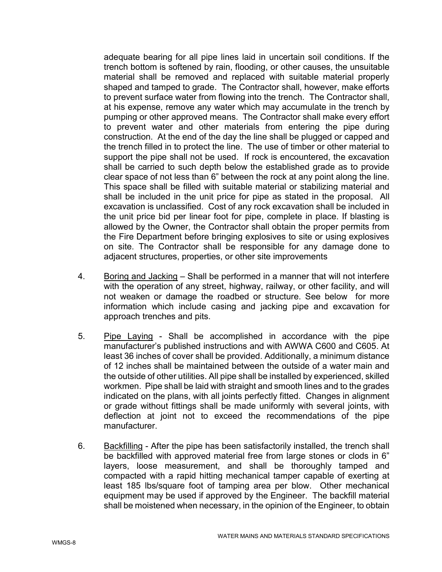adequate bearing for all pipe lines laid in uncertain soil conditions. If the trench bottom is softened by rain, flooding, or other causes, the unsuitable material shall be removed and replaced with suitable material properly shaped and tamped to grade. The Contractor shall, however, make efforts to prevent surface water from flowing into the trench. The Contractor shall, at his expense, remove any water which may accumulate in the trench by pumping or other approved means. The Contractor shall make every effort to prevent water and other materials from entering the pipe during construction. At the end of the day the line shall be plugged or capped and the trench filled in to protect the line. The use of timber or other material to support the pipe shall not be used. If rock is encountered, the excavation shall be carried to such depth below the established grade as to provide clear space of not less than 6" between the rock at any point along the line. This space shall be filled with suitable material or stabilizing material and shall be included in the unit price for pipe as stated in the proposal. All excavation is unclassified. Cost of any rock excavation shall be included in the unit price bid per linear foot for pipe, complete in place. If blasting is allowed by the Owner, the Contractor shall obtain the proper permits from the Fire Department before bringing explosives to site or using explosives on site. The Contractor shall be responsible for any damage done to adjacent structures, properties, or other site improvements

- 4. Boring and Jacking Shall be performed in a manner that will not interfere with the operation of any street, highway, railway, or other facility, and will not weaken or damage the roadbed or structure. See below for more information which include casing and jacking pipe and excavation for approach trenches and pits.
- 5. Pipe Laying Shall be accomplished in accordance with the pipe manufacturer's published instructions and with AWWA C600 and C605. At least 36 inches of cover shall be provided. Additionally, a minimum distance of 12 inches shall be maintained between the outside of a water main and the outside of other utilities. All pipe shall be installed by experienced, skilled workmen. Pipe shall be laid with straight and smooth lines and to the grades indicated on the plans, with all joints perfectly fitted. Changes in alignment or grade without fittings shall be made uniformly with several joints, with deflection at joint not to exceed the recommendations of the pipe manufacturer.
- 6. Backfilling After the pipe has been satisfactorily installed, the trench shall be backfilled with approved material free from large stones or clods in 6" layers, loose measurement, and shall be thoroughly tamped and compacted with a rapid hitting mechanical tamper capable of exerting at least 185 lbs/square foot of tamping area per blow. Other mechanical equipment may be used if approved by the Engineer. The backfill material shall be moistened when necessary, in the opinion of the Engineer, to obtain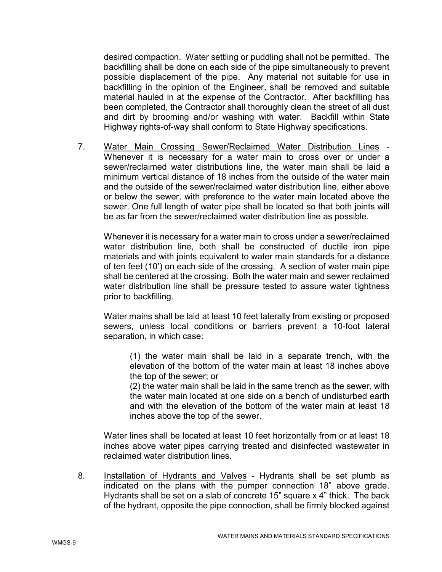desired compaction. Water settling or puddling shall not be permitted. The backfilling shall be done on each side of the pipe simultaneously to prevent possible displacement of the pipe. Any material not suitable for use in backfilling in the opinion of the Engineer, shall be removed and suitable material hauled in at the expense of the Contractor. After backfilling has been completed, the Contractor shall thoroughly clean the street of all dust and dirt by brooming and/or washing with water. Backfill within State Highway rights-of-way shall conform to State Highway specifications.

7. Water Main Crossing Sewer/Reclaimed Water Distribution Lines - Whenever it is necessary for a water main to cross over or under a sewer/reclaimed water distributions line, the water main shall be laid a minimum vertical distance of 18 inches from the outside of the water main and the outside of the sewer/reclaimed water distribution line, either above or below the sewer, with preference to the water main located above the sewer. One full length of water pipe shall be located so that both joints will be as far from the sewer/reclaimed water distribution line as possible.

Whenever it is necessary for a water main to cross under a sewer/reclaimed water distribution line, both shall be constructed of ductile iron pipe materials and with joints equivalent to water main standards for a distance of ten feet (10') on each side of the crossing. A section of water main pipe shall be centered at the crossing. Both the water main and sewer reclaimed water distribution line shall be pressure tested to assure water tightness prior to backfilling.

Water mains shall be laid at least 10 feet laterally from existing or proposed sewers, unless local conditions or barriers prevent a 10-foot lateral separation, in which case:

(1) the water main shall be laid in a separate trench, with the elevation of the bottom of the water main at least 18 inches above the top of the sewer; or

(2) the water main shall be laid in the same trench as the sewer, with the water main located at one side on a bench of undisturbed earth and with the elevation of the bottom of the water main at least 18 inches above the top of the sewer.

Water lines shall be located at least 10 feet horizontally from or at least 18 inches above water pipes carrying treated and disinfected wastewater in reclaimed water distribution lines.

8. Installation of Hydrants and Valves - Hydrants shall be set plumb as indicated on the plans with the pumper connection 18" above grade. Hydrants shall be set on a slab of concrete 15" square x 4" thick. The back of the hydrant, opposite the pipe connection, shall be firmly blocked against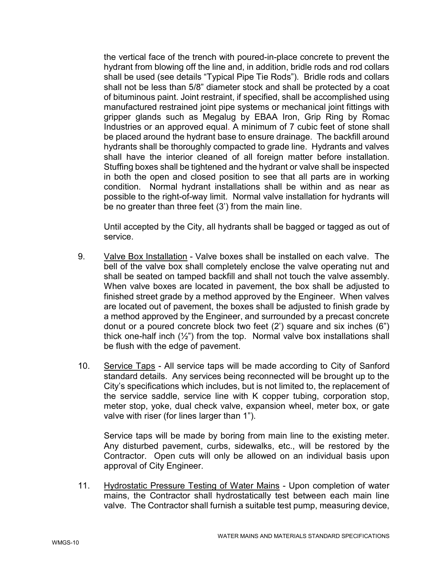the vertical face of the trench with poured-in-place concrete to prevent the hydrant from blowing off the line and, in addition, bridle rods and rod collars shall be used (see details "Typical Pipe Tie Rods"). Bridle rods and collars shall not be less than 5/8" diameter stock and shall be protected by a coat of bituminous paint. Joint restraint, if specified, shall be accomplished using manufactured restrained joint pipe systems or mechanical joint fittings with gripper glands such as Megalug by EBAA Iron, Grip Ring by Romac Industries or an approved equal. A minimum of 7 cubic feet of stone shall be placed around the hydrant base to ensure drainage. The backfill around hydrants shall be thoroughly compacted to grade line. Hydrants and valves shall have the interior cleaned of all foreign matter before installation. Stuffing boxes shall be tightened and the hydrant or valve shall be inspected in both the open and closed position to see that all parts are in working condition. Normal hydrant installations shall be within and as near as possible to the right-of-way limit. Normal valve installation for hydrants will be no greater than three feet (3') from the main line.

Until accepted by the City, all hydrants shall be bagged or tagged as out of service.

- 9. Valve Box Installation Valve boxes shall be installed on each valve. The bell of the valve box shall completely enclose the valve operating nut and shall be seated on tamped backfill and shall not touch the valve assembly. When valve boxes are located in pavement, the box shall be adjusted to finished street grade by a method approved by the Engineer. When valves are located out of pavement, the boxes shall be adjusted to finish grade by a method approved by the Engineer, and surrounded by a precast concrete donut or a poured concrete block two feet (2') square and six inches (6") thick one-half inch (½") from the top. Normal valve box installations shall be flush with the edge of pavement.
- 10. Service Taps All service taps will be made according to City of Sanford standard details. Any services being reconnected will be brought up to the City's specifications which includes, but is not limited to, the replacement of the service saddle, service line with K copper tubing, corporation stop, meter stop, yoke, dual check valve, expansion wheel, meter box, or gate valve with riser (for lines larger than 1").

Service taps will be made by boring from main line to the existing meter. Any disturbed pavement, curbs, sidewalks, etc., will be restored by the Contractor. Open cuts will only be allowed on an individual basis upon approval of City Engineer.

11. Hydrostatic Pressure Testing of Water Mains - Upon completion of water mains, the Contractor shall hydrostatically test between each main line valve. The Contractor shall furnish a suitable test pump, measuring device,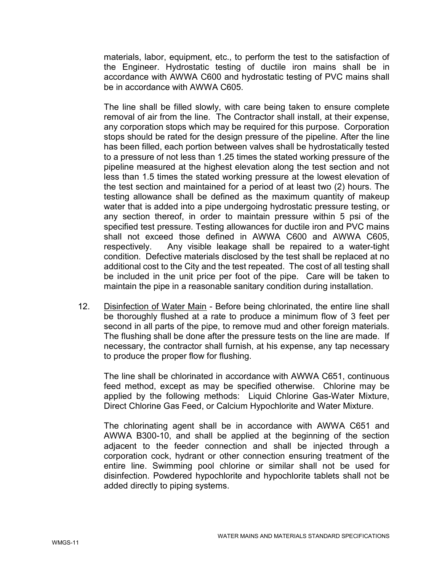materials, labor, equipment, etc., to perform the test to the satisfaction of the Engineer. Hydrostatic testing of ductile iron mains shall be in accordance with AWWA C600 and hydrostatic testing of PVC mains shall be in accordance with AWWA C605.

The line shall be filled slowly, with care being taken to ensure complete removal of air from the line. The Contractor shall install, at their expense, any corporation stops which may be required for this purpose. Corporation stops should be rated for the design pressure of the pipeline. After the line has been filled, each portion between valves shall be hydrostatically tested to a pressure of not less than 1.25 times the stated working pressure of the pipeline measured at the highest elevation along the test section and not less than 1.5 times the stated working pressure at the lowest elevation of the test section and maintained for a period of at least two (2) hours. The testing allowance shall be defined as the maximum quantity of makeup water that is added into a pipe undergoing hydrostatic pressure testing, or any section thereof, in order to maintain pressure within 5 psi of the specified test pressure. Testing allowances for ductile iron and PVC mains shall not exceed those defined in AWWA C600 and AWWA C605, respectively. Any visible leakage shall be repaired to a water-tight condition. Defective materials disclosed by the test shall be replaced at no additional cost to the City and the test repeated. The cost of all testing shall be included in the unit price per foot of the pipe. Care will be taken to maintain the pipe in a reasonable sanitary condition during installation.

12. Disinfection of Water Main - Before being chlorinated, the entire line shall be thoroughly flushed at a rate to produce a minimum flow of 3 feet per second in all parts of the pipe, to remove mud and other foreign materials. The flushing shall be done after the pressure tests on the line are made. If necessary, the contractor shall furnish, at his expense, any tap necessary to produce the proper flow for flushing.

The line shall be chlorinated in accordance with AWWA C651, continuous feed method, except as may be specified otherwise. Chlorine may be applied by the following methods: Liquid Chlorine Gas-Water Mixture, Direct Chlorine Gas Feed, or Calcium Hypochlorite and Water Mixture.

The chlorinating agent shall be in accordance with AWWA C651 and AWWA B300-10, and shall be applied at the beginning of the section adjacent to the feeder connection and shall be injected through a corporation cock, hydrant or other connection ensuring treatment of the entire line. Swimming pool chlorine or similar shall not be used for disinfection. Powdered hypochlorite and hypochlorite tablets shall not be added directly to piping systems.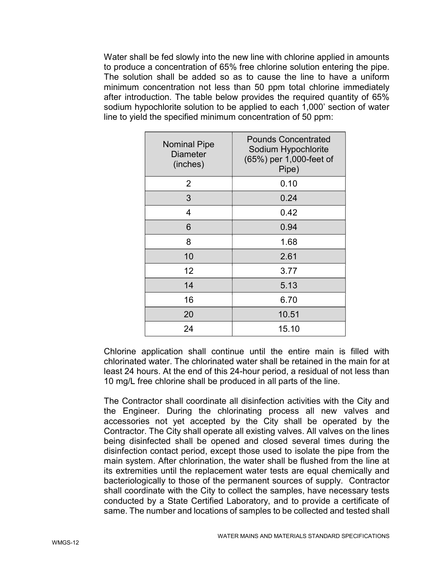Water shall be fed slowly into the new line with chlorine applied in amounts to produce a concentration of 65% free chlorine solution entering the pipe. The solution shall be added so as to cause the line to have a uniform minimum concentration not less than 50 ppm total chlorine immediately after introduction. The table below provides the required quantity of 65% sodium hypochlorite solution to be applied to each 1,000' section of water line to yield the specified minimum concentration of 50 ppm:

| <b>Nominal Pipe</b><br><b>Diameter</b><br>(inches) | <b>Pounds Concentrated</b><br>Sodium Hypochlorite<br>(65%) per 1,000-feet of<br>Pipe) |
|----------------------------------------------------|---------------------------------------------------------------------------------------|
| 2                                                  | 0.10                                                                                  |
| 3                                                  | 0.24                                                                                  |
| 4                                                  | 0.42                                                                                  |
| 6                                                  | 0.94                                                                                  |
| 8                                                  | 1.68                                                                                  |
| 10                                                 | 2.61                                                                                  |
| 12                                                 | 3.77                                                                                  |
| 14                                                 | 5.13                                                                                  |
| 16                                                 | 6.70                                                                                  |
| 20                                                 | 10.51                                                                                 |
| 24                                                 | 15.10                                                                                 |

Chlorine application shall continue until the entire main is filled with chlorinated water. The chlorinated water shall be retained in the main for at least 24 hours. At the end of this 24-hour period, a residual of not less than 10 mg/L free chlorine shall be produced in all parts of the line.

The Contractor shall coordinate all disinfection activities with the City and the Engineer. During the chlorinating process all new valves and accessories not yet accepted by the City shall be operated by the Contractor. The City shall operate all existing valves. All valves on the lines being disinfected shall be opened and closed several times during the disinfection contact period, except those used to isolate the pipe from the main system. After chlorination, the water shall be flushed from the line at its extremities until the replacement water tests are equal chemically and bacteriologically to those of the permanent sources of supply. Contractor shall coordinate with the City to collect the samples, have necessary tests conducted by a State Certified Laboratory, and to provide a certificate of same. The number and locations of samples to be collected and tested shall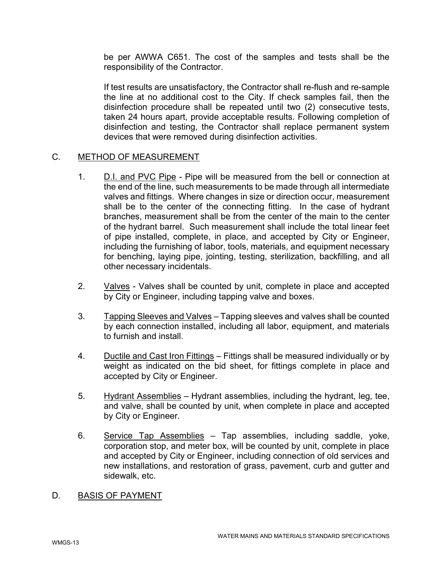be per AWWA C651. The cost of the samples and tests shall be the responsibility of the Contractor.

If test results are unsatisfactory, the Contractor shall re-flush and re-sample the line at no additional cost to the City. If check samples fail, then the disinfection procedure shall be repeated until two (2) consecutive tests, taken 24 hours apart, provide acceptable results. Following completion of disinfection and testing, the Contractor shall replace permanent system devices that were removed during disinfection activities.

## C. METHOD OF MEASUREMENT

- 1. D.I. and PVC Pipe Pipe will be measured from the bell or connection at the end of the line, such measurements to be made through all intermediate valves and fittings. Where changes in size or direction occur, measurement shall be to the center of the connecting fitting. In the case of hydrant branches, measurement shall be from the center of the main to the center of the hydrant barrel. Such measurement shall include the total linear feet of pipe installed, complete, in place, and accepted by City or Engineer, including the furnishing of labor, tools, materials, and equipment necessary for benching, laying pipe, jointing, testing, sterilization, backfilling, and all other necessary incidentals.
- 2. Valves Valves shall be counted by unit, complete in place and accepted by City or Engineer, including tapping valve and boxes.
- 3. Tapping Sleeves and Valves Tapping sleeves and valves shall be counted by each connection installed, including all labor, equipment, and materials to furnish and install.
- 4. Ductile and Cast Iron Fittings Fittings shall be measured individually or by weight as indicated on the bid sheet, for fittings complete in place and accepted by City or Engineer.
- 5. Hydrant Assemblies Hydrant assemblies, including the hydrant, leg, tee, and valve, shall be counted by unit, when complete in place and accepted by City or Engineer.
- 6. Service Tap Assemblies Tap assemblies, including saddle, yoke, corporation stop, and meter box, will be counted by unit, complete in place and accepted by City or Engineer, including connection of old services and new installations, and restoration of grass, pavement, curb and gutter and sidewalk, etc.
- D. BASIS OF PAYMENT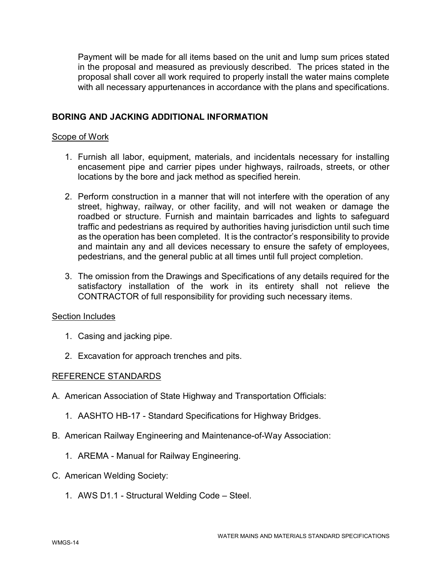Payment will be made for all items based on the unit and lump sum prices stated in the proposal and measured as previously described. The prices stated in the proposal shall cover all work required to properly install the water mains complete with all necessary appurtenances in accordance with the plans and specifications.

# BORING AND JACKING ADDITIONAL INFORMATION

## Scope of Work

- 1. Furnish all labor, equipment, materials, and incidentals necessary for installing encasement pipe and carrier pipes under highways, railroads, streets, or other locations by the bore and jack method as specified herein.
- 2. Perform construction in a manner that will not interfere with the operation of any street, highway, railway, or other facility, and will not weaken or damage the roadbed or structure. Furnish and maintain barricades and lights to safeguard traffic and pedestrians as required by authorities having jurisdiction until such time as the operation has been completed. It is the contractor's responsibility to provide and maintain any and all devices necessary to ensure the safety of employees, pedestrians, and the general public at all times until full project completion.
- 3. The omission from the Drawings and Specifications of any details required for the satisfactory installation of the work in its entirety shall not relieve the CONTRACTOR of full responsibility for providing such necessary items.

## Section Includes

- 1. Casing and jacking pipe.
- 2. Excavation for approach trenches and pits.

## REFERENCE STANDARDS

- A. American Association of State Highway and Transportation Officials:
	- 1. AASHTO HB-17 Standard Specifications for Highway Bridges.
- B. American Railway Engineering and Maintenance-of-Way Association:
	- 1. AREMA Manual for Railway Engineering.
- C. American Welding Society:
	- 1. AWS D1.1 Structural Welding Code Steel.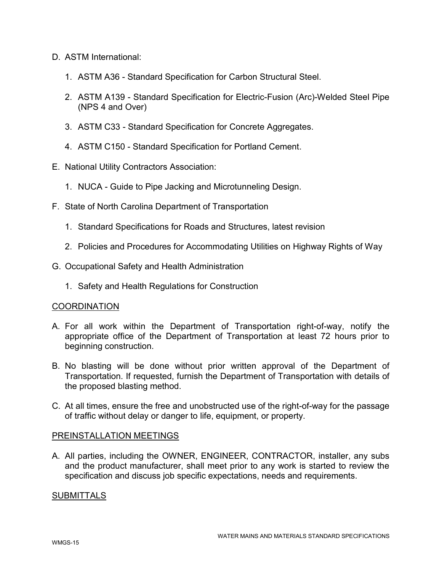- D. ASTM International:
	- 1. ASTM A36 Standard Specification for Carbon Structural Steel.
	- 2. ASTM A139 Standard Specification for Electric-Fusion (Arc)-Welded Steel Pipe (NPS 4 and Over)
	- 3. ASTM C33 Standard Specification for Concrete Aggregates.
	- 4. ASTM C150 Standard Specification for Portland Cement.
- E. National Utility Contractors Association:
	- 1. NUCA Guide to Pipe Jacking and Microtunneling Design.
- F. State of North Carolina Department of Transportation
	- 1. Standard Specifications for Roads and Structures, latest revision
	- 2. Policies and Procedures for Accommodating Utilities on Highway Rights of Way
- G. Occupational Safety and Health Administration
	- 1. Safety and Health Regulations for Construction

## **COORDINATION**

- A. For all work within the Department of Transportation right-of-way, notify the appropriate office of the Department of Transportation at least 72 hours prior to beginning construction.
- B. No blasting will be done without prior written approval of the Department of Transportation. If requested, furnish the Department of Transportation with details of the proposed blasting method.
- C. At all times, ensure the free and unobstructed use of the right-of-way for the passage of traffic without delay or danger to life, equipment, or property.

## PREINSTALLATION MEETINGS

A. All parties, including the OWNER, ENGINEER, CONTRACTOR, installer, any subs and the product manufacturer, shall meet prior to any work is started to review the specification and discuss job specific expectations, needs and requirements.

## **SUBMITTALS**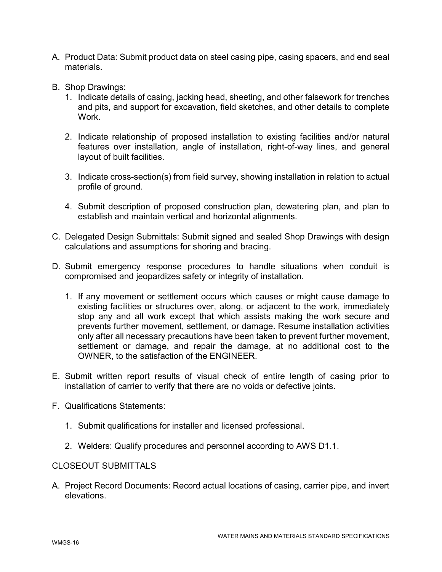- A. Product Data: Submit product data on steel casing pipe, casing spacers, and end seal materials.
- B. Shop Drawings:
	- 1. Indicate details of casing, jacking head, sheeting, and other falsework for trenches and pits, and support for excavation, field sketches, and other details to complete **Work**
	- 2. Indicate relationship of proposed installation to existing facilities and/or natural features over installation, angle of installation, right-of-way lines, and general layout of built facilities.
	- 3. Indicate cross-section(s) from field survey, showing installation in relation to actual profile of ground.
	- 4. Submit description of proposed construction plan, dewatering plan, and plan to establish and maintain vertical and horizontal alignments.
- C. Delegated Design Submittals: Submit signed and sealed Shop Drawings with design calculations and assumptions for shoring and bracing.
- D. Submit emergency response procedures to handle situations when conduit is compromised and jeopardizes safety or integrity of installation.
	- 1. If any movement or settlement occurs which causes or might cause damage to existing facilities or structures over, along, or adjacent to the work, immediately stop any and all work except that which assists making the work secure and prevents further movement, settlement, or damage. Resume installation activities only after all necessary precautions have been taken to prevent further movement, settlement or damage, and repair the damage, at no additional cost to the OWNER, to the satisfaction of the ENGINEER.
- E. Submit written report results of visual check of entire length of casing prior to installation of carrier to verify that there are no voids or defective joints.
- F. Qualifications Statements:
	- 1. Submit qualifications for installer and licensed professional.
	- 2. Welders: Qualify procedures and personnel according to AWS D1.1.

## CLOSEOUT SUBMITTALS

A. Project Record Documents: Record actual locations of casing, carrier pipe, and invert elevations.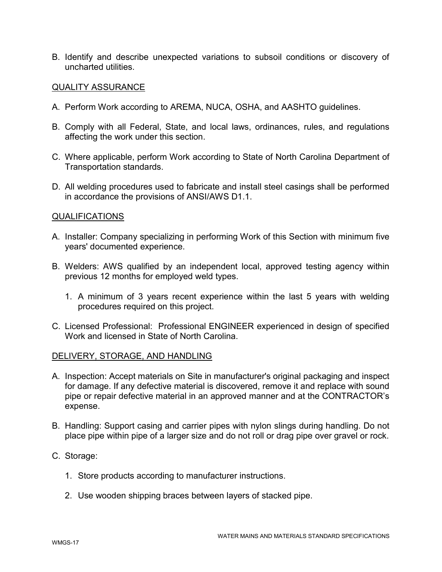B. Identify and describe unexpected variations to subsoil conditions or discovery of uncharted utilities.

## QUALITY ASSURANCE

- A. Perform Work according to AREMA, NUCA, OSHA, and AASHTO guidelines.
- B. Comply with all Federal, State, and local laws, ordinances, rules, and regulations affecting the work under this section.
- C. Where applicable, perform Work according to State of North Carolina Department of Transportation standards.
- D. All welding procedures used to fabricate and install steel casings shall be performed in accordance the provisions of ANSI/AWS D1.1.

## QUALIFICATIONS

- A. Installer: Company specializing in performing Work of this Section with minimum five years' documented experience.
- B. Welders: AWS qualified by an independent local, approved testing agency within previous 12 months for employed weld types.
	- 1. A minimum of 3 years recent experience within the last 5 years with welding procedures required on this project.
- C. Licensed Professional: Professional ENGINEER experienced in design of specified Work and licensed in State of North Carolina.

## DELIVERY, STORAGE, AND HANDLING

- A. Inspection: Accept materials on Site in manufacturer's original packaging and inspect for damage. If any defective material is discovered, remove it and replace with sound pipe or repair defective material in an approved manner and at the CONTRACTOR's expense.
- B. Handling: Support casing and carrier pipes with nylon slings during handling. Do not place pipe within pipe of a larger size and do not roll or drag pipe over gravel or rock.
- C. Storage:
	- 1. Store products according to manufacturer instructions.
	- 2. Use wooden shipping braces between layers of stacked pipe.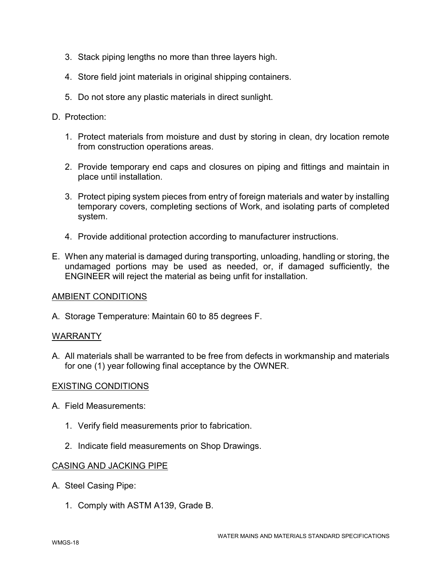- 3. Stack piping lengths no more than three layers high.
- 4. Store field joint materials in original shipping containers.
- 5. Do not store any plastic materials in direct sunlight.

# D. Protection<sup>.</sup>

- 1. Protect materials from moisture and dust by storing in clean, dry location remote from construction operations areas.
- 2. Provide temporary end caps and closures on piping and fittings and maintain in place until installation.
- 3. Protect piping system pieces from entry of foreign materials and water by installing temporary covers, completing sections of Work, and isolating parts of completed system.
- 4. Provide additional protection according to manufacturer instructions.
- E. When any material is damaged during transporting, unloading, handling or storing, the undamaged portions may be used as needed, or, if damaged sufficiently, the ENGINEER will reject the material as being unfit for installation.

# AMBIENT CONDITIONS

A. Storage Temperature: Maintain 60 to 85 degrees F.

# WARRANTY

A. All materials shall be warranted to be free from defects in workmanship and materials for one (1) year following final acceptance by the OWNER.

# EXISTING CONDITIONS

- A. Field Measurements:
	- 1. Verify field measurements prior to fabrication.
	- 2. Indicate field measurements on Shop Drawings.

## CASING AND JACKING PIPE

- A. Steel Casing Pipe:
	- 1. Comply with ASTM A139, Grade B.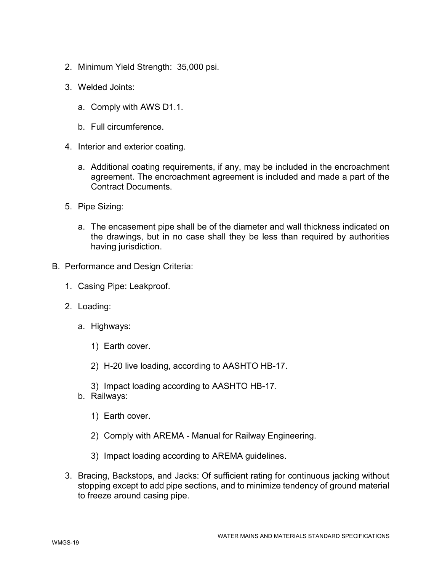- 2. Minimum Yield Strength: 35,000 psi.
- 3. Welded Joints:
	- a. Comply with AWS D1.1.
	- b. Full circumference.
- 4. Interior and exterior coating.
	- a. Additional coating requirements, if any, may be included in the encroachment agreement. The encroachment agreement is included and made a part of the Contract Documents.
- 5. Pipe Sizing:
	- a. The encasement pipe shall be of the diameter and wall thickness indicated on the drawings, but in no case shall they be less than required by authorities having jurisdiction.
- B. Performance and Design Criteria:
	- 1. Casing Pipe: Leakproof.
	- 2. Loading:
		- a. Highways:
			- 1) Earth cover.
			- 2) H-20 live loading, according to AASHTO HB-17.
			- 3) Impact loading according to AASHTO HB-17.
		- b. Railways:
			- 1) Earth cover.
			- 2) Comply with AREMA Manual for Railway Engineering.
			- 3) Impact loading according to AREMA guidelines.
	- 3. Bracing, Backstops, and Jacks: Of sufficient rating for continuous jacking without stopping except to add pipe sections, and to minimize tendency of ground material to freeze around casing pipe.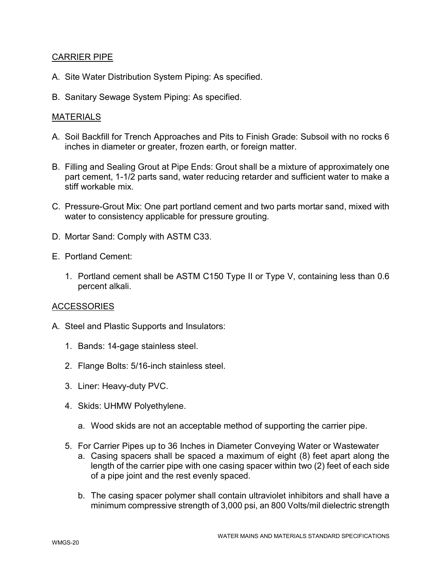# CARRIER PIPE

- A. Site Water Distribution System Piping: As specified.
- B. Sanitary Sewage System Piping: As specified.

# MATERIALS

- A. Soil Backfill for Trench Approaches and Pits to Finish Grade: Subsoil with no rocks 6 inches in diameter or greater, frozen earth, or foreign matter.
- B. Filling and Sealing Grout at Pipe Ends: Grout shall be a mixture of approximately one part cement, 1-1/2 parts sand, water reducing retarder and sufficient water to make a stiff workable mix.
- C. Pressure-Grout Mix: One part portland cement and two parts mortar sand, mixed with water to consistency applicable for pressure grouting.
- D. Mortar Sand: Comply with ASTM C33.
- E. Portland Cement:
	- 1. Portland cement shall be ASTM C150 Type II or Type V, containing less than 0.6 percent alkali.

# **ACCESSORIES**

- A. Steel and Plastic Supports and Insulators:
	- 1. Bands: 14-gage stainless steel.
	- 2. Flange Bolts: 5/16-inch stainless steel.
	- 3. Liner: Heavy-duty PVC.
	- 4. Skids: UHMW Polyethylene.
		- a. Wood skids are not an acceptable method of supporting the carrier pipe.
	- 5. For Carrier Pipes up to 36 Inches in Diameter Conveying Water or Wastewater
		- a. Casing spacers shall be spaced a maximum of eight (8) feet apart along the length of the carrier pipe with one casing spacer within two (2) feet of each side of a pipe joint and the rest evenly spaced.
		- b. The casing spacer polymer shall contain ultraviolet inhibitors and shall have a minimum compressive strength of 3,000 psi, an 800 Volts/mil dielectric strength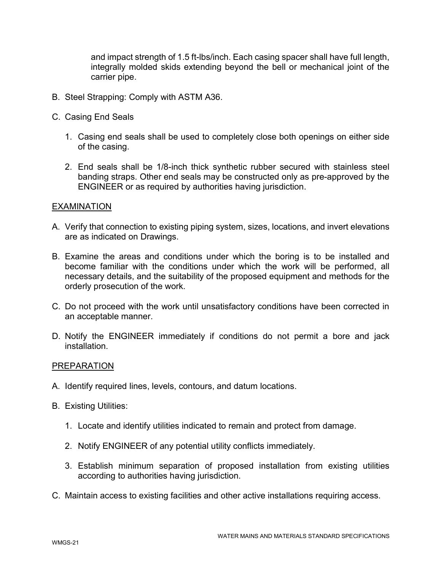and impact strength of 1.5 ft-lbs/inch. Each casing spacer shall have full length, integrally molded skids extending beyond the bell or mechanical joint of the carrier pipe.

- B. Steel Strapping: Comply with ASTM A36.
- C. Casing End Seals
	- 1. Casing end seals shall be used to completely close both openings on either side of the casing.
	- 2. End seals shall be 1/8-inch thick synthetic rubber secured with stainless steel banding straps. Other end seals may be constructed only as pre-approved by the ENGINEER or as required by authorities having jurisdiction.

## EXAMINATION

- A. Verify that connection to existing piping system, sizes, locations, and invert elevations are as indicated on Drawings.
- B. Examine the areas and conditions under which the boring is to be installed and become familiar with the conditions under which the work will be performed, all necessary details, and the suitability of the proposed equipment and methods for the orderly prosecution of the work.
- C. Do not proceed with the work until unsatisfactory conditions have been corrected in an acceptable manner.
- D. Notify the ENGINEER immediately if conditions do not permit a bore and jack installation.

## PREPARATION

- A. Identify required lines, levels, contours, and datum locations.
- B. Existing Utilities:
	- 1. Locate and identify utilities indicated to remain and protect from damage.
	- 2. Notify ENGINEER of any potential utility conflicts immediately.
	- 3. Establish minimum separation of proposed installation from existing utilities according to authorities having jurisdiction.
- C. Maintain access to existing facilities and other active installations requiring access.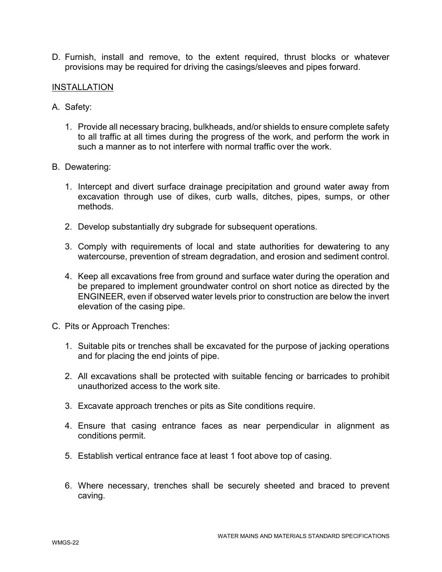D. Furnish, install and remove, to the extent required, thrust blocks or whatever provisions may be required for driving the casings/sleeves and pipes forward.

## INSTALLATION

- A. Safety:
	- 1. Provide all necessary bracing, bulkheads, and/or shields to ensure complete safety to all traffic at all times during the progress of the work, and perform the work in such a manner as to not interfere with normal traffic over the work.
- B. Dewatering:
	- 1. Intercept and divert surface drainage precipitation and ground water away from excavation through use of dikes, curb walls, ditches, pipes, sumps, or other methods.
	- 2. Develop substantially dry subgrade for subsequent operations.
	- 3. Comply with requirements of local and state authorities for dewatering to any watercourse, prevention of stream degradation, and erosion and sediment control.
	- 4. Keep all excavations free from ground and surface water during the operation and be prepared to implement groundwater control on short notice as directed by the ENGINEER, even if observed water levels prior to construction are below the invert elevation of the casing pipe.
- C. Pits or Approach Trenches:
	- 1. Suitable pits or trenches shall be excavated for the purpose of jacking operations and for placing the end joints of pipe.
	- 2. All excavations shall be protected with suitable fencing or barricades to prohibit unauthorized access to the work site.
	- 3. Excavate approach trenches or pits as Site conditions require.
	- 4. Ensure that casing entrance faces as near perpendicular in alignment as conditions permit.
	- 5. Establish vertical entrance face at least 1 foot above top of casing.
	- 6. Where necessary, trenches shall be securely sheeted and braced to prevent caving.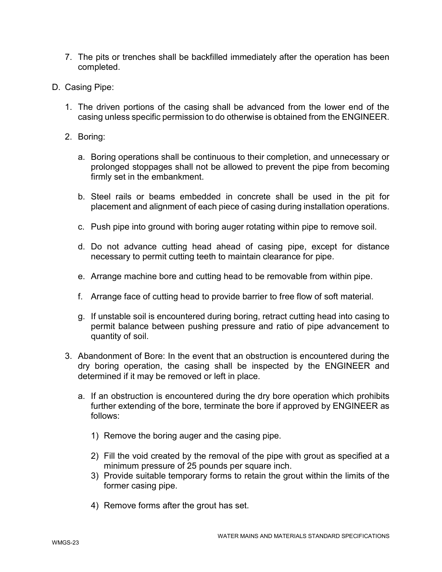- 7. The pits or trenches shall be backfilled immediately after the operation has been completed.
- D. Casing Pipe:
	- 1. The driven portions of the casing shall be advanced from the lower end of the casing unless specific permission to do otherwise is obtained from the ENGINEER.
	- 2. Boring:
		- a. Boring operations shall be continuous to their completion, and unnecessary or prolonged stoppages shall not be allowed to prevent the pipe from becoming firmly set in the embankment.
		- b. Steel rails or beams embedded in concrete shall be used in the pit for placement and alignment of each piece of casing during installation operations.
		- c. Push pipe into ground with boring auger rotating within pipe to remove soil.
		- d. Do not advance cutting head ahead of casing pipe, except for distance necessary to permit cutting teeth to maintain clearance for pipe.
		- e. Arrange machine bore and cutting head to be removable from within pipe.
		- f. Arrange face of cutting head to provide barrier to free flow of soft material.
		- g. If unstable soil is encountered during boring, retract cutting head into casing to permit balance between pushing pressure and ratio of pipe advancement to quantity of soil.
	- 3. Abandonment of Bore: In the event that an obstruction is encountered during the dry boring operation, the casing shall be inspected by the ENGINEER and determined if it may be removed or left in place.
		- a. If an obstruction is encountered during the dry bore operation which prohibits further extending of the bore, terminate the bore if approved by ENGINEER as follows:
			- 1) Remove the boring auger and the casing pipe.
			- 2) Fill the void created by the removal of the pipe with grout as specified at a minimum pressure of 25 pounds per square inch.
			- 3) Provide suitable temporary forms to retain the grout within the limits of the former casing pipe.
			- 4) Remove forms after the grout has set.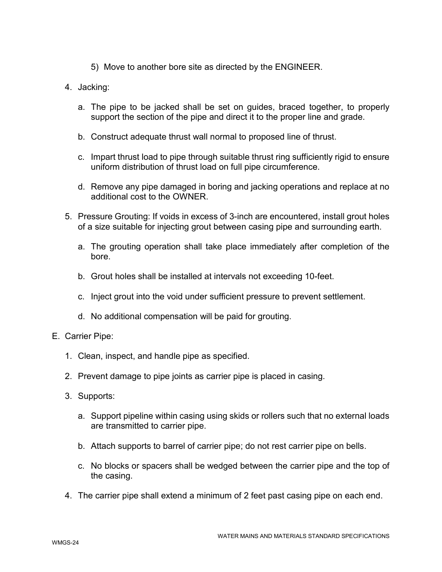- 5) Move to another bore site as directed by the ENGINEER.
- 4. Jacking:
	- a. The pipe to be jacked shall be set on guides, braced together, to properly support the section of the pipe and direct it to the proper line and grade.
	- b. Construct adequate thrust wall normal to proposed line of thrust.
	- c. Impart thrust load to pipe through suitable thrust ring sufficiently rigid to ensure uniform distribution of thrust load on full pipe circumference.
	- d. Remove any pipe damaged in boring and jacking operations and replace at no additional cost to the OWNER.
- 5. Pressure Grouting: If voids in excess of 3-inch are encountered, install grout holes of a size suitable for injecting grout between casing pipe and surrounding earth.
	- a. The grouting operation shall take place immediately after completion of the bore.
	- b. Grout holes shall be installed at intervals not exceeding 10-feet.
	- c. Inject grout into the void under sufficient pressure to prevent settlement.
	- d. No additional compensation will be paid for grouting.
- E. Carrier Pipe:
	- 1. Clean, inspect, and handle pipe as specified.
	- 2. Prevent damage to pipe joints as carrier pipe is placed in casing.
	- 3. Supports:
		- a. Support pipeline within casing using skids or rollers such that no external loads are transmitted to carrier pipe.
		- b. Attach supports to barrel of carrier pipe; do not rest carrier pipe on bells.
		- c. No blocks or spacers shall be wedged between the carrier pipe and the top of the casing.
	- 4. The carrier pipe shall extend a minimum of 2 feet past casing pipe on each end.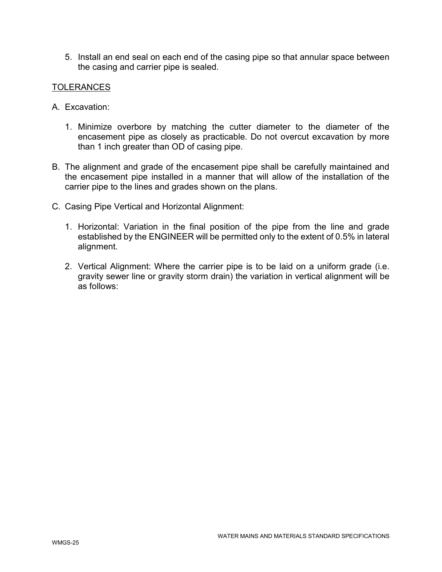5. Install an end seal on each end of the casing pipe so that annular space between the casing and carrier pipe is sealed.

# TOLERANCES

- A. Excavation:
	- 1. Minimize overbore by matching the cutter diameter to the diameter of the encasement pipe as closely as practicable. Do not overcut excavation by more than 1 inch greater than OD of casing pipe.
- B. The alignment and grade of the encasement pipe shall be carefully maintained and the encasement pipe installed in a manner that will allow of the installation of the carrier pipe to the lines and grades shown on the plans.
- C. Casing Pipe Vertical and Horizontal Alignment:
	- 1. Horizontal: Variation in the final position of the pipe from the line and grade established by the ENGINEER will be permitted only to the extent of 0.5% in lateral alignment.
	- 2. Vertical Alignment: Where the carrier pipe is to be laid on a uniform grade (i.e. gravity sewer line or gravity storm drain) the variation in vertical alignment will be as follows: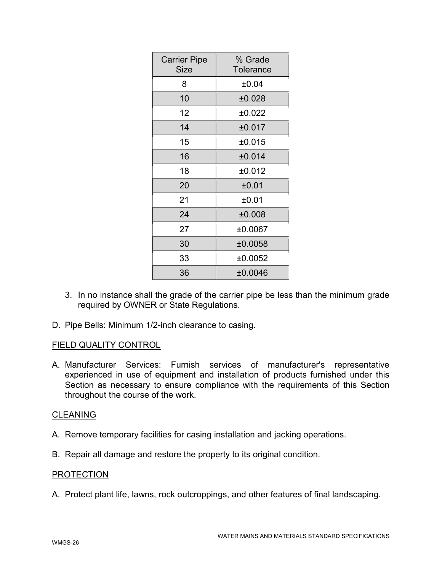| <b>Carrier Pipe</b><br><b>Size</b> | % Grade<br><b>Tolerance</b> |
|------------------------------------|-----------------------------|
| 8                                  | ±0.04                       |
| 10                                 | ±0.028                      |
| 12                                 | ±0.022                      |
| 14                                 | ±0.017                      |
| 15                                 | ±0.015                      |
| 16                                 | ±0.014                      |
| 18                                 | ±0.012                      |
| 20                                 | ±0.01                       |
| 21                                 | ±0.01                       |
| 24                                 | ±0.008                      |
| 27                                 | ±0.0067                     |
| 30                                 | ±0.0058                     |
| 33                                 | ±0.0052                     |
| 36                                 | ±0.0046                     |

- 3. In no instance shall the grade of the carrier pipe be less than the minimum grade required by OWNER or State Regulations.
- D. Pipe Bells: Minimum 1/2-inch clearance to casing.

# FIELD QUALITY CONTROL

A. Manufacturer Services: Furnish services of manufacturer's representative experienced in use of equipment and installation of products furnished under this Section as necessary to ensure compliance with the requirements of this Section throughout the course of the work.

# CLEANING

- A. Remove temporary facilities for casing installation and jacking operations.
- B. Repair all damage and restore the property to its original condition.

## PROTECTION

A. Protect plant life, lawns, rock outcroppings, and other features of final landscaping.